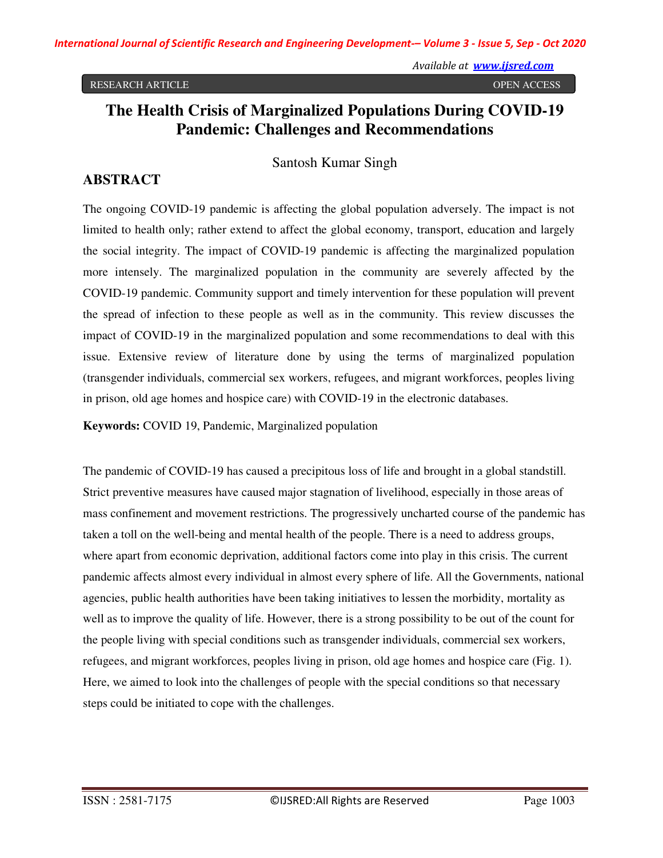#### RESEARCH ARTICLE **SECOND ACCESS**

# **The Health Crisis of Marginalized Populations During COVID-19 Pandemic: Challenges and Recommendations**

#### Santosh Kumar Singh

#### **ABSTRACT**

The ongoing COVID-19 pandemic is affecting the global population adversely. The impact is not limited to health only; rather extend to affect the global economy, transport, education and largely the social integrity. The impact of COVID-19 pandemic is affecting the marginalized population more intensely. The marginalized population in the community are severely affected by the COVID-19 pandemic. Community support and timely intervention for these population will prevent the spread of infection to these people as well as in the community. This review discusses the impact of COVID-19 in the marginalized population and some recommendations to deal with this issue. Extensive review of literature done by using the terms of marginalized population (transgender individuals, commercial sex workers, refugees, and migrant workforces, peoples living in prison, old age homes and hospice care) with COVID-19 in the electronic databases.

**Keywords:** COVID 19, Pandemic, Marginalized population

The pandemic of COVID-19 has caused a precipitous loss of life and brought in a global standstill. Strict preventive measures have caused major stagnation of livelihood, especially in those areas of mass confinement and movement restrictions. The progressively uncharted course of the pandemic has taken a toll on the well-being and mental health of the people. There is a need to address groups, where apart from economic deprivation, additional factors come into play in this crisis. The current pandemic affects almost every individual in almost every sphere of life. All the Governments, national agencies, public health authorities have been taking initiatives to lessen the morbidity, mortality as well as to improve the quality of life. However, there is a strong possibility to be out of the count for the people living with special conditions such as transgender individuals, commercial sex workers, refugees, and migrant workforces, peoples living in prison, old age homes and hospice care (Fig. 1). Here, we aimed to look into the challenges of people with the special conditions so that necessary steps could be initiated to cope with the challenges.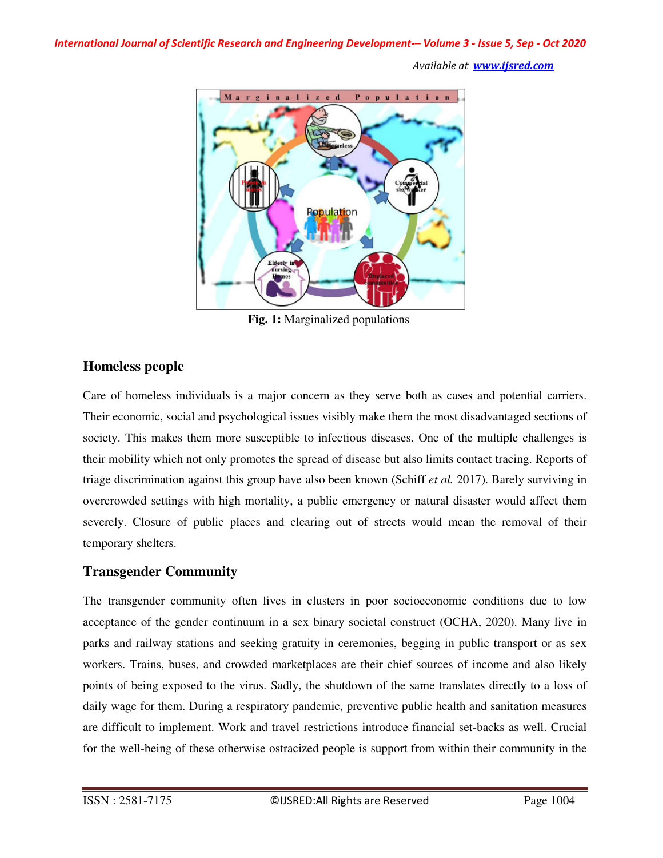

**Fig. 1:** Marginalized populations

## **Homeless people**

Care of homeless individuals is a major concern as they serve both as cases and potential carriers. Their economic, social and psychological issues visibly make them the most disadvantaged sections of society. This makes them more susceptible to infectious diseases. One of the multiple challenges is their mobility which not only promotes the spread of disease but also limits contact tracing. Reports of triage discrimination against this group have also been known (Schiff *et al.* 2017). Barely surviving in overcrowded settings with high mortality, a public emergency or natural disaster would affect them severely. Closure of public places and clearing out of streets would mean the removal of their temporary shelters.

## **Transgender Community**

The transgender community often lives in clusters in poor socioeconomic conditions due to low acceptance of the gender continuum in a sex binary societal construct (OCHA, 2020). Many live in parks and railway stations and seeking gratuity in ceremonies, begging in public transport or as sex workers. Trains, buses, and crowded marketplaces are their chief sources of income and also likely points of being exposed to the virus. Sadly, the shutdown of the same translates directly to a loss of daily wage for them. During a respiratory pandemic, preventive public health and sanitation measures are difficult to implement. Work and travel restrictions introduce financial set-backs as well. Crucial for the well-being of these otherwise ostracized people is support from within their community in the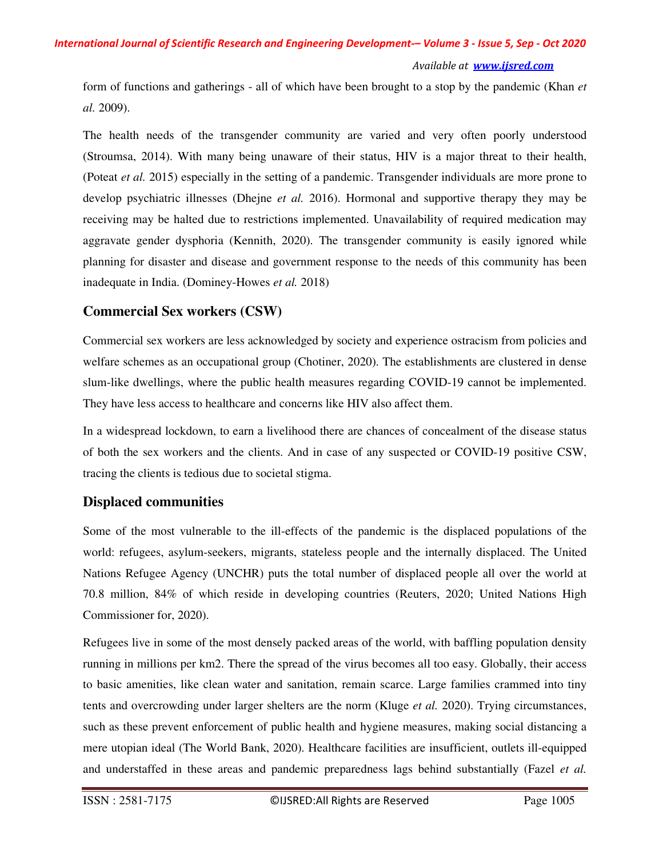form of functions and gatherings - all of which have been brought to a stop by the pandemic (Khan *et al.* 2009).

The health needs of the transgender community are varied and very often poorly understood (Stroumsa, 2014). With many being unaware of their status, HIV is a major threat to their health, (Poteat *et al.* 2015) especially in the setting of a pandemic. Transgender individuals are more prone to develop psychiatric illnesses (Dhejne *et al.* 2016). Hormonal and supportive therapy they may be receiving may be halted due to restrictions implemented. Unavailability of required medication may aggravate gender dysphoria (Kennith, 2020). The transgender community is easily ignored while planning for disaster and disease and government response to the needs of this community has been inadequate in India. (Dominey-Howes *et al.* 2018)

## **Commercial Sex workers (CSW)**

Commercial sex workers are less acknowledged by society and experience ostracism from policies and welfare schemes as an occupational group (Chotiner, 2020). The establishments are clustered in dense slum-like dwellings, where the public health measures regarding COVID-19 cannot be implemented. They have less access to healthcare and concerns like HIV also affect them.

In a widespread lockdown, to earn a livelihood there are chances of concealment of the disease status of both the sex workers and the clients. And in case of any suspected or COVID-19 positive CSW, tracing the clients is tedious due to societal stigma.

## **Displaced communities**

Some of the most vulnerable to the ill-effects of the pandemic is the displaced populations of the world: refugees, asylum-seekers, migrants, stateless people and the internally displaced. The United Nations Refugee Agency (UNCHR) puts the total number of displaced people all over the world at 70.8 million, 84% of which reside in developing countries (Reuters, 2020; United Nations High Commissioner for, 2020).

Refugees live in some of the most densely packed areas of the world, with baffling population density running in millions per km2. There the spread of the virus becomes all too easy. Globally, their access to basic amenities, like clean water and sanitation, remain scarce. Large families crammed into tiny tents and overcrowding under larger shelters are the norm (Kluge *et al.* 2020). Trying circumstances, such as these prevent enforcement of public health and hygiene measures, making social distancing a mere utopian ideal (The World Bank, 2020). Healthcare facilities are insufficient, outlets ill-equipped and understaffed in these areas and pandemic preparedness lags behind substantially (Fazel *et al.*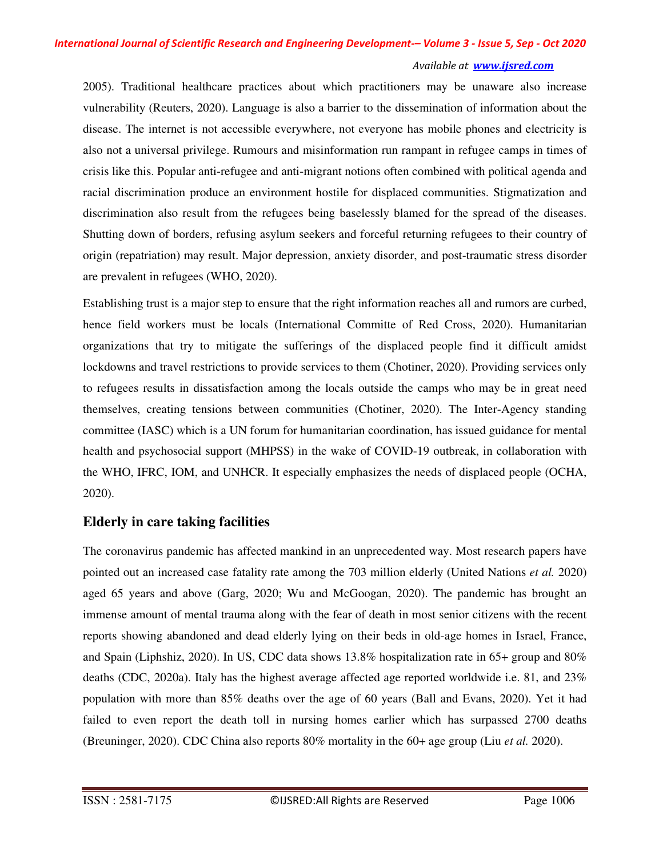2005). Traditional healthcare practices about which practitioners may be unaware also increase vulnerability (Reuters, 2020). Language is also a barrier to the dissemination of information about the disease. The internet is not accessible everywhere, not everyone has mobile phones and electricity is also not a universal privilege. Rumours and misinformation run rampant in refugee camps in times of crisis like this. Popular anti-refugee and anti-migrant notions often combined with political agenda and racial discrimination produce an environment hostile for displaced communities. Stigmatization and discrimination also result from the refugees being baselessly blamed for the spread of the diseases. Shutting down of borders, refusing asylum seekers and forceful returning refugees to their country of origin (repatriation) may result. Major depression, anxiety disorder, and post-traumatic stress disorder are prevalent in refugees (WHO, 2020).

Establishing trust is a major step to ensure that the right information reaches all and rumors are curbed, hence field workers must be locals (International Committe of Red Cross, 2020). Humanitarian organizations that try to mitigate the sufferings of the displaced people find it difficult amidst lockdowns and travel restrictions to provide services to them (Chotiner, 2020). Providing services only to refugees results in dissatisfaction among the locals outside the camps who may be in great need themselves, creating tensions between communities (Chotiner, 2020). The Inter-Agency standing committee (IASC) which is a UN forum for humanitarian coordination, has issued guidance for mental health and psychosocial support (MHPSS) in the wake of COVID-19 outbreak, in collaboration with the WHO, IFRC, IOM, and UNHCR. It especially emphasizes the needs of displaced people (OCHA, 2020).

## **Elderly in care taking facilities**

The coronavirus pandemic has affected mankind in an unprecedented way. Most research papers have pointed out an increased case fatality rate among the 703 million elderly (United Nations *et al.* 2020) aged 65 years and above (Garg, 2020; Wu and McGoogan, 2020). The pandemic has brought an immense amount of mental trauma along with the fear of death in most senior citizens with the recent reports showing abandoned and dead elderly lying on their beds in old-age homes in Israel, France, and Spain (Liphshiz, 2020). In US, CDC data shows 13.8% hospitalization rate in 65+ group and 80% deaths (CDC, 2020a). Italy has the highest average affected age reported worldwide i.e. 81, and 23% population with more than 85% deaths over the age of 60 years (Ball and Evans, 2020). Yet it had failed to even report the death toll in nursing homes earlier which has surpassed 2700 deaths (Breuninger, 2020). CDC China also reports 80% mortality in the 60+ age group (Liu *et al.* 2020).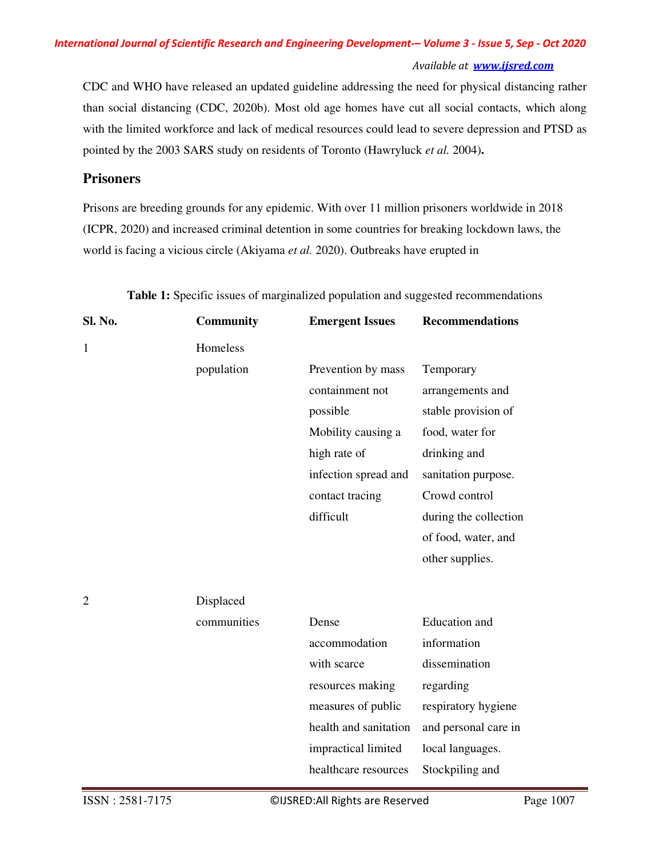#### *Available at www.ijsred.com*

CDC and WHO have released an updated guideline addressing the need for physical distancing rather than social distancing (CDC, 2020b). Most old age homes have cut all social contacts, which along with the limited workforce and lack of medical resources could lead to severe depression and PTSD as pointed by the 2003 SARS study on residents of Toronto (Hawryluck *et al.* 2004)**.** 

## **Prisoners**

Prisons are breeding grounds for any epidemic. With over 11 million prisoners worldwide in 2018 (ICPR, 2020) and increased criminal detention in some countries for breaking lockdown laws, the world is facing a vicious circle (Akiyama *et al.* 2020). Outbreaks have erupted in

| Homeless<br>1<br>population<br>Prevention by mass<br>Temporary<br>containment not<br>arrangements and<br>stable provision of<br>possible<br>food, water for<br>Mobility causing a<br>high rate of<br>drinking and<br>infection spread and<br>sanitation purpose.<br>Crowd control<br>contact tracing | <b>Community</b> | <b>Emergent Issues</b> | <b>Recommendations</b> |
|------------------------------------------------------------------------------------------------------------------------------------------------------------------------------------------------------------------------------------------------------------------------------------------------------|------------------|------------------------|------------------------|
|                                                                                                                                                                                                                                                                                                      |                  |                        |                        |
|                                                                                                                                                                                                                                                                                                      |                  |                        |                        |
|                                                                                                                                                                                                                                                                                                      |                  |                        |                        |
|                                                                                                                                                                                                                                                                                                      |                  |                        |                        |
|                                                                                                                                                                                                                                                                                                      |                  |                        |                        |
|                                                                                                                                                                                                                                                                                                      |                  |                        |                        |
|                                                                                                                                                                                                                                                                                                      |                  |                        |                        |
|                                                                                                                                                                                                                                                                                                      |                  |                        |                        |
| difficult                                                                                                                                                                                                                                                                                            |                  |                        | during the collection  |
| of food, water, and                                                                                                                                                                                                                                                                                  |                  |                        |                        |
| other supplies.                                                                                                                                                                                                                                                                                      |                  |                        |                        |
|                                                                                                                                                                                                                                                                                                      |                  |                        |                        |
| $\overline{2}$<br>Displaced                                                                                                                                                                                                                                                                          |                  |                        |                        |
| <b>Education</b> and<br>communities<br>Dense                                                                                                                                                                                                                                                         |                  |                        |                        |
| information<br>accommodation                                                                                                                                                                                                                                                                         |                  |                        |                        |
| dissemination<br>with scarce                                                                                                                                                                                                                                                                         |                  |                        |                        |
| resources making<br>regarding                                                                                                                                                                                                                                                                        |                  |                        |                        |
| measures of public<br>respiratory hygiene                                                                                                                                                                                                                                                            |                  |                        |                        |
| health and sanitation<br>and personal care in                                                                                                                                                                                                                                                        |                  |                        |                        |
| impractical limited<br>local languages.                                                                                                                                                                                                                                                              |                  |                        |                        |
| healthcare resources<br>Stockpiling and                                                                                                                                                                                                                                                              |                  |                        |                        |

**Table 1:** Specific issues of marginalized population and suggested recommendations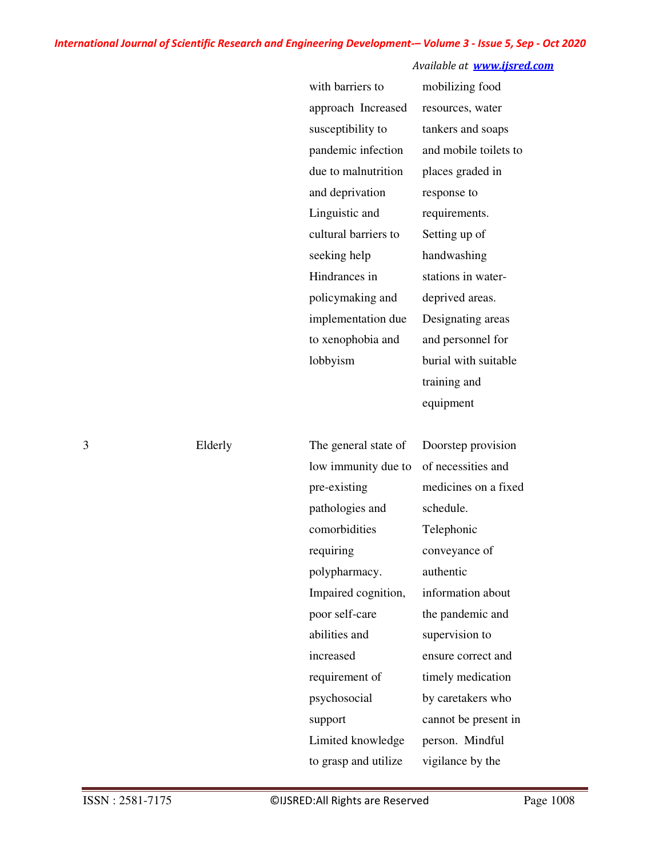#### *Available at www.ijsred.com*

| with barriers to     | mobilizing food       |
|----------------------|-----------------------|
| approach Increased   | resources, water      |
| susceptibility to    | tankers and soaps     |
| pandemic infection   | and mobile toilets to |
| due to malnutrition  | places graded in      |
| and deprivation      | response to           |
| Linguistic and       | requirements.         |
| cultural barriers to | Setting up of         |
| seeking help         | handwashing           |
| Hindrances in        | stations in water-    |
| policymaking and     | deprived areas.       |
| implementation due   | Designating areas     |
| to xenophobia and    | and personnel for     |
| lobbyism             | burial with suitable  |
|                      | training and          |
|                      | equipment             |
|                      |                       |
| The general state of | Doorstep provision    |
| low immunity due to  | of necessities and    |
| pre-existing         | medicines on a fixed  |
| pathologies and      | schedule.             |
| comorbidities        | Telephonic            |
| requiring            | conveyance of         |
| polypharmacy.        | authentic             |
| Impaired cognition,  | information about     |
| poor self-care       | the pandemic and      |
| abilities and        | supervision to        |
| increased            | ensure correct and    |
| requirement of       | timely medication     |

3 Elderly

Limited knowledge

to grasp and utilize

psychosocial

support

by caretakers who cannot be present in

person. Mindful

vigilance by the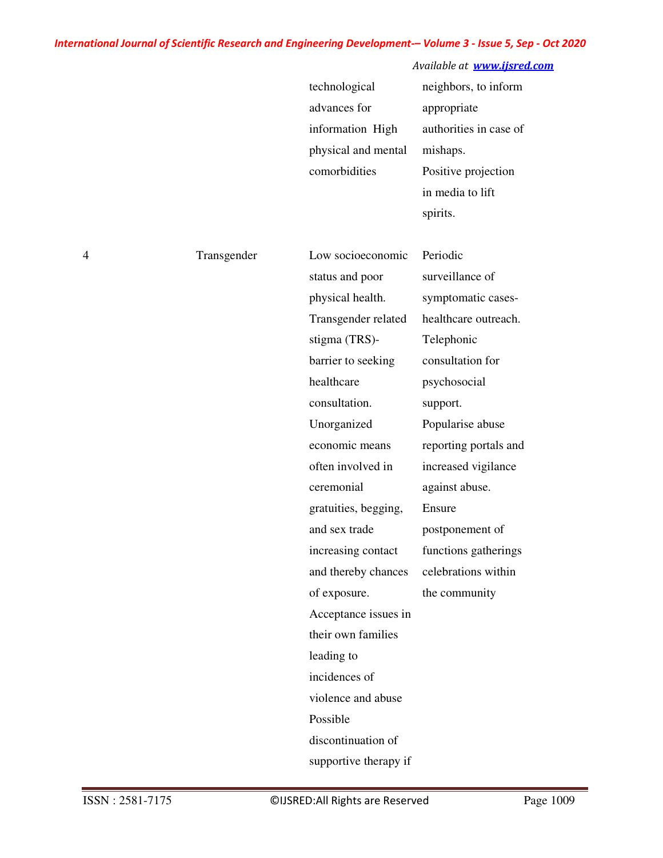## *Available at www.ijsred.com*

| technological       | neighbors, to inform   |
|---------------------|------------------------|
| advances for        | appropriate            |
| information High    | authorities in case of |
| physical and mental | mishaps.               |
| comorbidities       | Positive projection    |
|                     | in media to lift       |
|                     | spirits.               |

| 4 | Transgender | Low socioeconomic     | Periodic              |
|---|-------------|-----------------------|-----------------------|
|   |             | status and poor       | surveillance of       |
|   |             | physical health.      | symptomatic cases-    |
|   |             | Transgender related   | healthcare outreach.  |
|   |             | stigma (TRS)-         | Telephonic            |
|   |             | barrier to seeking    | consultation for      |
|   |             | healthcare            | psychosocial          |
|   |             | consultation.         | support.              |
|   |             | Unorganized           | Popularise abuse      |
|   |             | economic means        | reporting portals and |
|   |             | often involved in     | increased vigilance   |
|   |             | ceremonial            | against abuse.        |
|   |             | gratuities, begging,  | Ensure                |
|   |             | and sex trade         | postponement of       |
|   |             | increasing contact    | functions gatherings  |
|   |             | and thereby chances   | celebrations within   |
|   |             | of exposure.          | the community         |
|   |             | Acceptance issues in  |                       |
|   |             | their own families    |                       |
|   |             | leading to            |                       |
|   |             | incidences of         |                       |
|   |             | violence and abuse    |                       |
|   |             | Possible              |                       |
|   |             | discontinuation of    |                       |
|   |             | supportive therapy if |                       |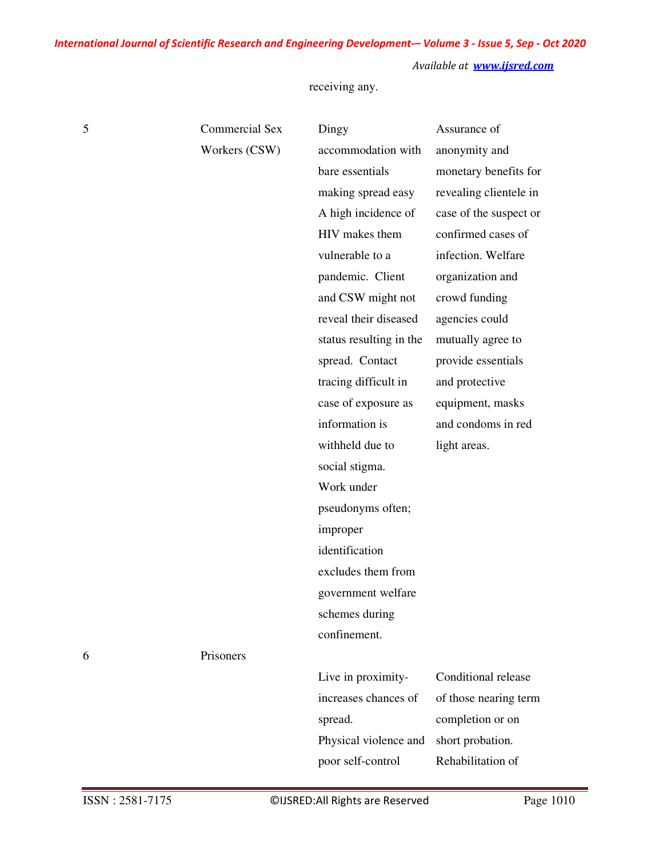*Available at www.ijsred.com*

receiving any.

| 5 | <b>Commercial Sex</b> | Dingy                   | Assurance of           |
|---|-----------------------|-------------------------|------------------------|
|   | Workers (CSW)         | accommodation with      | anonymity and          |
|   |                       | bare essentials         | monetary benefits for  |
|   |                       | making spread easy      | revealing clientele in |
|   |                       | A high incidence of     | case of the suspect or |
|   |                       | HIV makes them          | confirmed cases of     |
|   |                       | vulnerable to a         | infection. Welfare     |
|   |                       | pandemic. Client        | organization and       |
|   |                       | and CSW might not       | crowd funding          |
|   |                       | reveal their diseased   | agencies could         |
|   |                       | status resulting in the | mutually agree to      |
|   |                       | spread. Contact         | provide essentials     |
|   |                       | tracing difficult in    | and protective         |
|   |                       | case of exposure as     | equipment, masks       |
|   |                       | information is          | and condoms in red     |
|   |                       | withheld due to         | light areas.           |
|   |                       | social stigma.          |                        |
|   |                       | Work under              |                        |
|   |                       | pseudonyms often;       |                        |
|   |                       | improper                |                        |
|   |                       | identification          |                        |
|   |                       | excludes them from      |                        |
|   |                       | government welfare      |                        |
|   |                       | schemes during          |                        |
|   |                       | confinement.            |                        |
| 6 | Prisoners             |                         |                        |
|   |                       | Live in proximity-      | Conditional release    |
|   |                       | increases chances of    | of those nearing term  |
|   |                       | spread.                 | completion or on       |
|   |                       | Physical violence and   | short probation.       |
|   |                       | poor self-control       | Rehabilitation of      |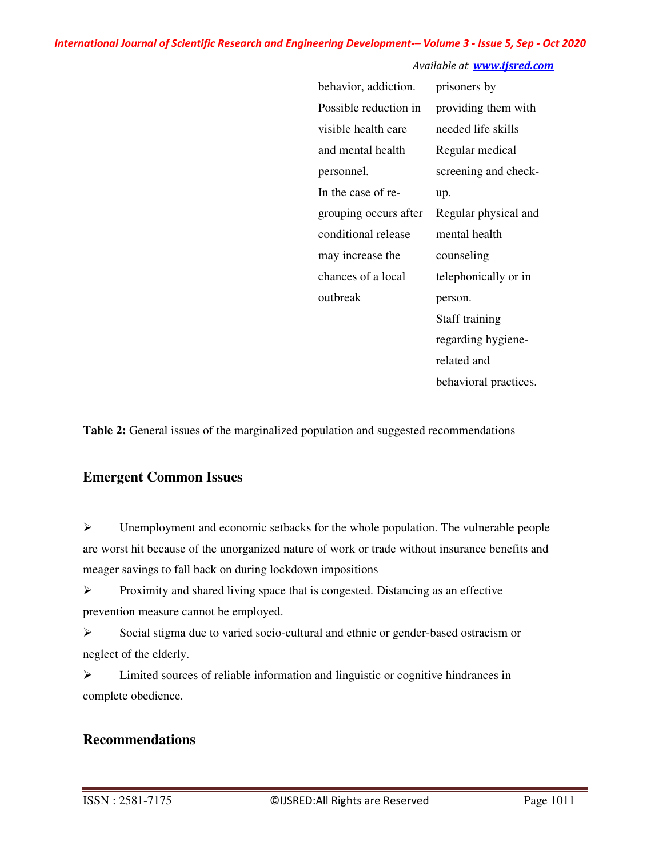#### *Available at www.ijsred.com*

| behavior, addiction.  | prisoners by          |
|-----------------------|-----------------------|
| Possible reduction in | providing them with   |
| visible health care   | needed life skills    |
| and mental health     | Regular medical       |
| personnel.            | screening and check-  |
| In the case of re-    | up.                   |
| grouping occurs after | Regular physical and  |
| conditional release   | mental health         |
| may increase the      | counseling            |
| chances of a local    | telephonically or in  |
| outbreak              | person.               |
|                       | Staff training        |
|                       | regarding hygiene-    |
|                       | related and           |
|                       | behavioral practices. |

**Table 2:** General issues of the marginalized population and suggested recommendations

## **Emergent Common Issues**

 $\triangleright$  Unemployment and economic setbacks for the whole population. The vulnerable people are worst hit because of the unorganized nature of work or trade without insurance benefits and meager savings to fall back on during lockdown impositions

 $\triangleright$  Proximity and shared living space that is congested. Distancing as an effective prevention measure cannot be employed.

 $\triangleright$  Social stigma due to varied socio-cultural and ethnic or gender-based ostracism or neglect of the elderly.

 Limited sources of reliable information and linguistic or cognitive hindrances in complete obedience.

## **Recommendations**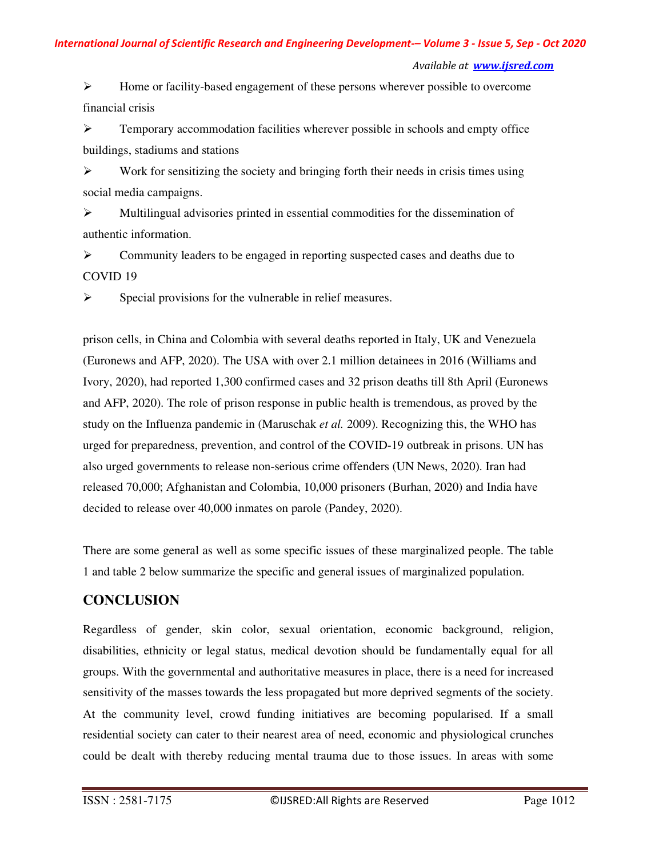Home or facility-based engagement of these persons wherever possible to overcome financial crisis

 $\triangleright$  Temporary accommodation facilities wherever possible in schools and empty office buildings, stadiums and stations

 $\triangleright$  Work for sensitizing the society and bringing forth their needs in crisis times using social media campaigns.

 $\triangleright$  Multilingual advisories printed in essential commodities for the dissemination of authentic information.

 $\triangleright$  Community leaders to be engaged in reporting suspected cases and deaths due to COVID 19

 $\triangleright$  Special provisions for the vulnerable in relief measures.

prison cells, in China and Colombia with several deaths reported in Italy, UK and Venezuela (Euronews and AFP, 2020). The USA with over 2.1 million detainees in 2016 (Williams and Ivory, 2020), had reported 1,300 confirmed cases and 32 prison deaths till 8th April (Euronews and AFP, 2020). The role of prison response in public health is tremendous, as proved by the study on the Influenza pandemic in (Maruschak *et al.* 2009). Recognizing this, the WHO has urged for preparedness, prevention, and control of the COVID-19 outbreak in prisons. UN has also urged governments to release non-serious crime offenders (UN News, 2020). Iran had released 70,000; Afghanistan and Colombia, 10,000 prisoners (Burhan, 2020) and India have decided to release over 40,000 inmates on parole (Pandey, 2020).

There are some general as well as some specific issues of these marginalized people. The table 1 and table 2 below summarize the specific and general issues of marginalized population.

## **CONCLUSION**

Regardless of gender, skin color, sexual orientation, economic background, religion, disabilities, ethnicity or legal status, medical devotion should be fundamentally equal for all groups. With the governmental and authoritative measures in place, there is a need for increased sensitivity of the masses towards the less propagated but more deprived segments of the society. At the community level, crowd funding initiatives are becoming popularised. If a small residential society can cater to their nearest area of need, economic and physiological crunches could be dealt with thereby reducing mental trauma due to those issues. In areas with some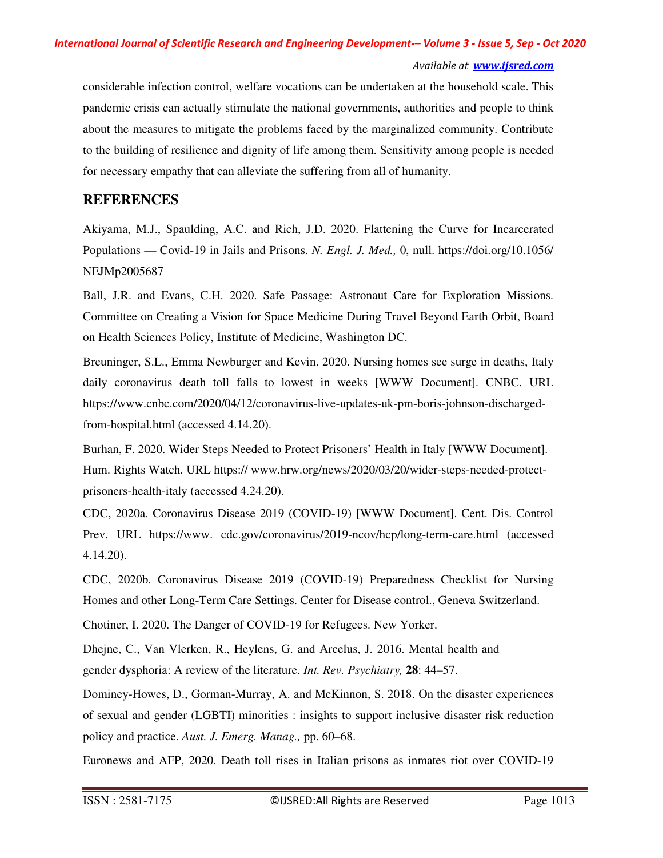considerable infection control, welfare vocations can be undertaken at the household scale. This pandemic crisis can actually stimulate the national governments, authorities and people to think about the measures to mitigate the problems faced by the marginalized community. Contribute to the building of resilience and dignity of life among them. Sensitivity among people is needed for necessary empathy that can alleviate the suffering from all of humanity.

#### **REFERENCES**

Akiyama, M.J., Spaulding, A.C. and Rich, J.D. 2020. Flattening the Curve for Incarcerated Populations — Covid-19 in Jails and Prisons. *N. Engl. J. Med.,* 0, null. https://doi.org/10.1056/ NEJMp2005687

Ball, J.R. and Evans, C.H. 2020. Safe Passage: Astronaut Care for Exploration Missions. Committee on Creating a Vision for Space Medicine During Travel Beyond Earth Orbit, Board on Health Sciences Policy, Institute of Medicine, Washington DC.

Breuninger, S.L., Emma Newburger and Kevin. 2020. Nursing homes see surge in deaths, Italy daily coronavirus death toll falls to lowest in weeks [WWW Document]. CNBC. URL https://www.cnbc.com/2020/04/12/coronavirus-live-updates-uk-pm-boris-johnson-dischargedfrom-hospital.html (accessed 4.14.20).

Burhan, F. 2020. Wider Steps Needed to Protect Prisoners' Health in Italy [WWW Document]. Hum. Rights Watch. URL https:// www.hrw.org/news/2020/03/20/wider-steps-needed-protectprisoners-health-italy (accessed 4.24.20).

CDC, 2020a. Coronavirus Disease 2019 (COVID-19) [WWW Document]. Cent. Dis. Control Prev. URL https://www. cdc.gov/coronavirus/2019-ncov/hcp/long-term-care.html (accessed 4.14.20).

CDC, 2020b. Coronavirus Disease 2019 (COVID-19) Preparedness Checklist for Nursing Homes and other Long-Term Care Settings. Center for Disease control., Geneva Switzerland.

Chotiner, I. 2020. The Danger of COVID-19 for Refugees. New Yorker.

Dhejne, C., Van Vlerken, R., Heylens, G. and Arcelus, J. 2016. Mental health and gender dysphoria: A review of the literature. *Int. Rev. Psychiatry,* **28**: 44–57.

Dominey-Howes, D., Gorman-Murray, A. and McKinnon, S. 2018. On the disaster experiences of sexual and gender (LGBTI) minorities : insights to support inclusive disaster risk reduction policy and practice. *Aust. J. Emerg. Manag.,* pp. 60–68.

Euronews and AFP, 2020. Death toll rises in Italian prisons as inmates riot over COVID-19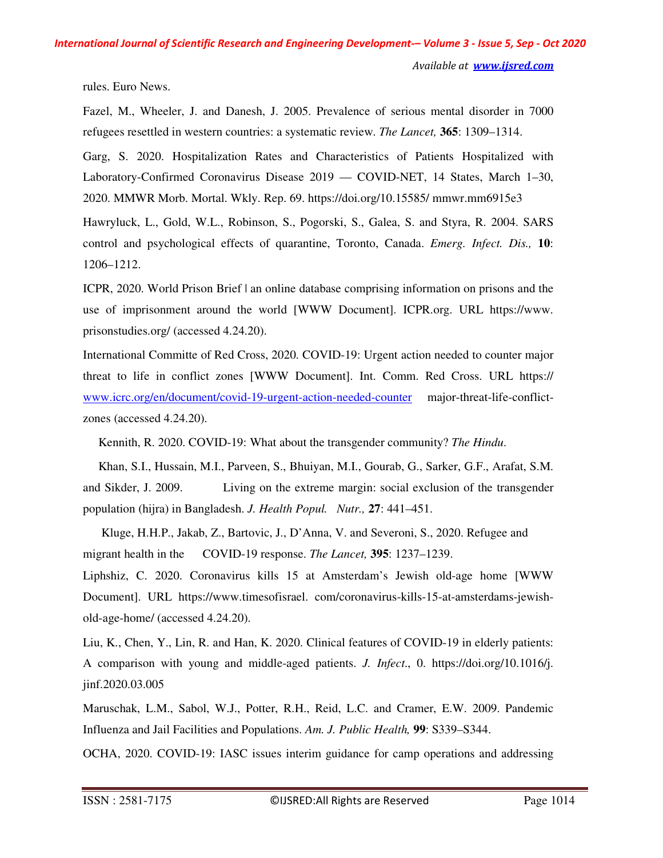rules. Euro News.

Fazel, M., Wheeler, J. and Danesh, J. 2005. Prevalence of serious mental disorder in 7000 refugees resettled in western countries: a systematic review. *The Lancet,* **365**: 1309–1314.

Garg, S. 2020. Hospitalization Rates and Characteristics of Patients Hospitalized with Laboratory-Confirmed Coronavirus Disease 2019 — COVID-NET, 14 States, March 1–30, 2020. MMWR Morb. Mortal. Wkly. Rep. 69. https://doi.org/10.15585/ mmwr.mm6915e3

Hawryluck, L., Gold, W.L., Robinson, S., Pogorski, S., Galea, S. and Styra, R. 2004. SARS control and psychological effects of quarantine, Toronto, Canada. *Emerg. Infect. Dis.,* **10**: 1206–1212.

ICPR, 2020. World Prison Brief | an online database comprising information on prisons and the use of imprisonment around the world [WWW Document]. ICPR.org. URL https://www. prisonstudies.org/ (accessed 4.24.20).

International Committe of Red Cross, 2020. COVID-19: Urgent action needed to counter major threat to life in conflict zones [WWW Document]. Int. Comm. Red Cross. URL https:// www.icrc.org/en/document/covid-19-urgent-action-needed-counter major-threat-life-conflictzones (accessed 4.24.20).

Kennith, R. 2020. COVID-19: What about the transgender community? *The Hindu*.

 Khan, S.I., Hussain, M.I., Parveen, S., Bhuiyan, M.I., Gourab, G., Sarker, G.F., Arafat, S.M. and Sikder, J. 2009. Living on the extreme margin: social exclusion of the transgender population (hijra) in Bangladesh. *J. Health Popul. Nutr.,* **27**: 441–451.

 Kluge, H.H.P., Jakab, Z., Bartovic, J., D'Anna, V. and Severoni, S., 2020. Refugee and migrant health in the COVID-19 response. *The Lancet,* **395**: 1237–1239.

Liphshiz, C. 2020. Coronavirus kills 15 at Amsterdam's Jewish old-age home [WWW Document]. URL https://www.timesofisrael. com/coronavirus-kills-15-at-amsterdams-jewishold-age-home/ (accessed 4.24.20).

Liu, K., Chen, Y., Lin, R. and Han, K. 2020. Clinical features of COVID-19 in elderly patients: A comparison with young and middle-aged patients. *J. Infect*., 0. https://doi.org/10.1016/j. jinf.2020.03.005

Maruschak, L.M., Sabol, W.J., Potter, R.H., Reid, L.C. and Cramer, E.W. 2009. Pandemic Influenza and Jail Facilities and Populations. *Am. J. Public Health,* **99**: S339–S344.

OCHA, 2020. COVID-19: IASC issues interim guidance for camp operations and addressing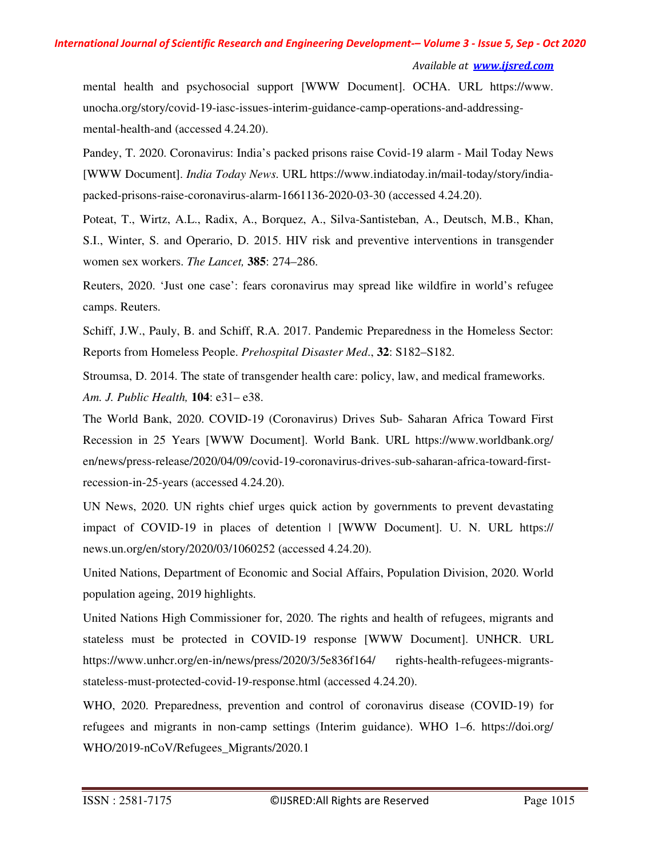```
Available at www.ijsred.com
```
mental health and psychosocial support [WWW Document]. OCHA. URL https://www. unocha.org/story/covid-19-iasc-issues-interim-guidance-camp-operations-and-addressingmental-health-and (accessed 4.24.20).

Pandey, T. 2020. Coronavirus: India's packed prisons raise Covid-19 alarm - Mail Today News [WWW Document]. *India Today News*. URL https://www.indiatoday.in/mail-today/story/indiapacked-prisons-raise-coronavirus-alarm-1661136-2020-03-30 (accessed 4.24.20).

Poteat, T., Wirtz, A.L., Radix, A., Borquez, A., Silva-Santisteban, A., Deutsch, M.B., Khan, S.I., Winter, S. and Operario, D. 2015. HIV risk and preventive interventions in transgender women sex workers. *The Lancet,* **385**: 274–286.

Reuters, 2020. 'Just one case': fears coronavirus may spread like wildfire in world's refugee camps. Reuters.

Schiff, J.W., Pauly, B. and Schiff, R.A. 2017. Pandemic Preparedness in the Homeless Sector: Reports from Homeless People. *Prehospital Disaster Med*., **32**: S182–S182.

Stroumsa, D. 2014. The state of transgender health care: policy, law, and medical frameworks. *Am. J. Public Health,* **104**: e31– e38.

The World Bank, 2020. COVID-19 (Coronavirus) Drives Sub- Saharan Africa Toward First Recession in 25 Years [WWW Document]. World Bank. URL https://www.worldbank.org/ en/news/press-release/2020/04/09/covid-19-coronavirus-drives-sub-saharan-africa-toward-firstrecession-in-25-years (accessed 4.24.20).

UN News, 2020. UN rights chief urges quick action by governments to prevent devastating impact of COVID-19 in places of detention | [WWW Document]. U. N. URL https:// news.un.org/en/story/2020/03/1060252 (accessed 4.24.20).

United Nations, Department of Economic and Social Affairs, Population Division, 2020. World population ageing, 2019 highlights.

United Nations High Commissioner for, 2020. The rights and health of refugees, migrants and stateless must be protected in COVID-19 response [WWW Document]. UNHCR. URL https://www.unhcr.org/en-in/news/press/2020/3/5e836f164/ rights-health-refugees-migrantsstateless-must-protected-covid-19-response.html (accessed 4.24.20).

WHO, 2020. Preparedness, prevention and control of coronavirus disease (COVID-19) for refugees and migrants in non-camp settings (Interim guidance). WHO 1–6. https://doi.org/ WHO/2019-nCoV/Refugees\_Migrants/2020.1